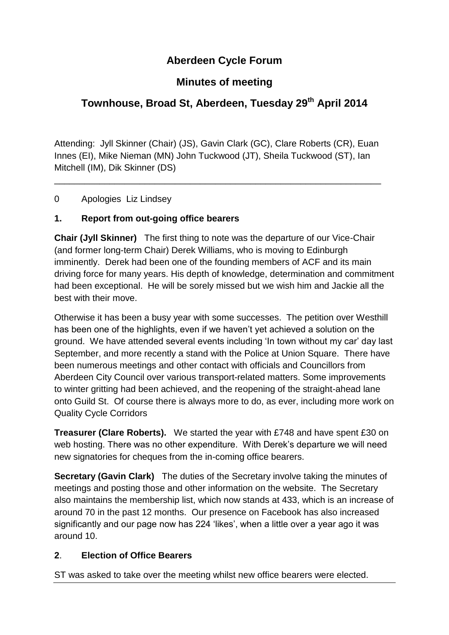# **Aberdeen Cycle Forum**

# **Minutes of meeting**

# **Townhouse, Broad St, Aberdeen, Tuesday 29 th April 2014**

Attending: Jyll Skinner (Chair) (JS), Gavin Clark (GC), Clare Roberts (CR), Euan Innes (EI), Mike Nieman (MN) John Tuckwood (JT), Sheila Tuckwood (ST), Ian Mitchell (IM), Dik Skinner (DS)

\_\_\_\_\_\_\_\_\_\_\_\_\_\_\_\_\_\_\_\_\_\_\_\_\_\_\_\_\_\_\_\_\_\_\_\_\_\_\_\_\_\_\_\_\_\_\_\_\_\_\_\_\_\_\_\_\_\_\_\_\_\_\_\_\_

0 Apologies Liz Lindsey

## **1. Report from out-going office bearers**

**Chair (Jyll Skinner)** The first thing to note was the departure of our Vice-Chair (and former long-term Chair) Derek Williams, who is moving to Edinburgh imminently. Derek had been one of the founding members of ACF and its main driving force for many years. His depth of knowledge, determination and commitment had been exceptional. He will be sorely missed but we wish him and Jackie all the best with their move.

Otherwise it has been a busy year with some successes. The petition over Westhill has been one of the highlights, even if we haven't yet achieved a solution on the ground. We have attended several events including 'In town without my car' day last September, and more recently a stand with the Police at Union Square. There have been numerous meetings and other contact with officials and Councillors from Aberdeen City Council over various transport-related matters. Some improvements to winter gritting had been achieved, and the reopening of the straight-ahead lane onto Guild St. Of course there is always more to do, as ever, including more work on Quality Cycle Corridors

**Treasurer (Clare Roberts).** We started the year with £748 and have spent £30 on web hosting. There was no other expenditure. With Derek's departure we will need new signatories for cheques from the in-coming office bearers.

**Secretary (Gavin Clark)** The duties of the Secretary involve taking the minutes of meetings and posting those and other information on the website. The Secretary also maintains the membership list, which now stands at 433, which is an increase of around 70 in the past 12 months. Our presence on Facebook has also increased significantly and our page now has 224 'likes', when a little over a year ago it was around 10.

## **2**. **Election of Office Bearers**

ST was asked to take over the meeting whilst new office bearers were elected.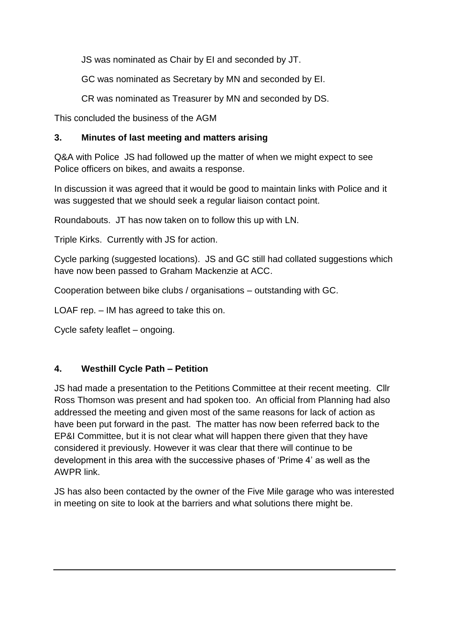JS was nominated as Chair by EI and seconded by JT.

GC was nominated as Secretary by MN and seconded by EI.

CR was nominated as Treasurer by MN and seconded by DS.

This concluded the business of the AGM

#### **3. Minutes of last meeting and matters arising**

Q&A with Police JS had followed up the matter of when we might expect to see Police officers on bikes, and awaits a response.

In discussion it was agreed that it would be good to maintain links with Police and it was suggested that we should seek a regular liaison contact point.

Roundabouts. JT has now taken on to follow this up with LN.

Triple Kirks. Currently with JS for action.

Cycle parking (suggested locations). JS and GC still had collated suggestions which have now been passed to Graham Mackenzie at ACC.

Cooperation between bike clubs / organisations – outstanding with GC.

LOAF rep. – IM has agreed to take this on.

Cycle safety leaflet – ongoing.

#### **4. Westhill Cycle Path – Petition**

JS had made a presentation to the Petitions Committee at their recent meeting. Cllr Ross Thomson was present and had spoken too. An official from Planning had also addressed the meeting and given most of the same reasons for lack of action as have been put forward in the past. The matter has now been referred back to the EP&I Committee, but it is not clear what will happen there given that they have considered it previously. However it was clear that there will continue to be development in this area with the successive phases of 'Prime 4' as well as the AWPR link.

JS has also been contacted by the owner of the Five Mile garage who was interested in meeting on site to look at the barriers and what solutions there might be.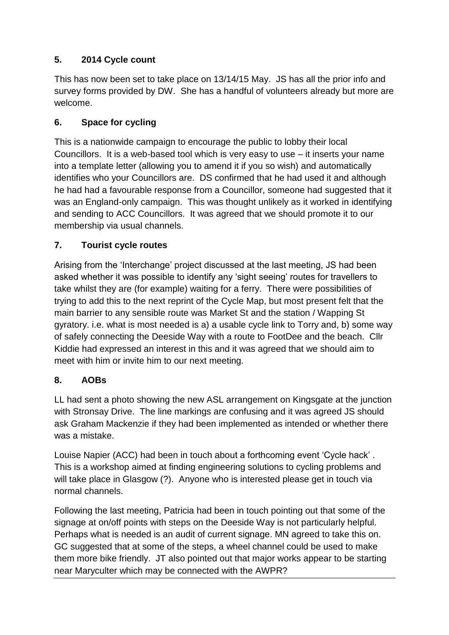## **5. 2014 Cycle count**

This has now been set to take place on 13/14/15 May. JS has all the prior info and survey forms provided by DW. She has a handful of volunteers already but more are welcome.

#### **6. Space for cycling**

This is a nationwide campaign to encourage the public to lobby their local Councillors. It is a web-based tool which is very easy to use – it inserts your name into a template letter (allowing you to amend it if you so wish) and automatically identifies who your Councillors are. DS confirmed that he had used it and although he had had a favourable response from a Councillor, someone had suggested that it was an England-only campaign. This was thought unlikely as it worked in identifying and sending to ACC Councillors. It was agreed that we should promote it to our membership via usual channels.

#### **7. Tourist cycle routes**

Arising from the 'Interchange' project discussed at the last meeting, JS had been asked whether it was possible to identify any 'sight seeing' routes for travellers to take whilst they are (for example) waiting for a ferry. There were possibilities of trying to add this to the next reprint of the Cycle Map, but most present felt that the main barrier to any sensible route was Market St and the station / Wapping St gyratory. i.e. what is most needed is a) a usable cycle link to Torry and, b) some way of safely connecting the Deeside Way with a route to FootDee and the beach. Cllr Kiddie had expressed an interest in this and it was agreed that we should aim to meet with him or invite him to our next meeting.

#### **8. AOBs**

LL had sent a photo showing the new ASL arrangement on Kingsgate at the junction with Stronsay Drive. The line markings are confusing and it was agreed JS should ask Graham Mackenzie if they had been implemented as intended or whether there was a mistake.

Louise Napier (ACC) had been in touch about a forthcoming event 'Cycle hack' . This is a workshop aimed at finding engineering solutions to cycling problems and will take place in Glasgow (?). Anyone who is interested please get in touch via normal channels.

Following the last meeting, Patricia had been in touch pointing out that some of the signage at on/off points with steps on the Deeside Way is not particularly helpful. Perhaps what is needed is an audit of current signage. MN agreed to take this on. GC suggested that at some of the steps, a wheel channel could be used to make them more bike friendly. JT also pointed out that major works appear to be starting near Maryculter which may be connected with the AWPR?